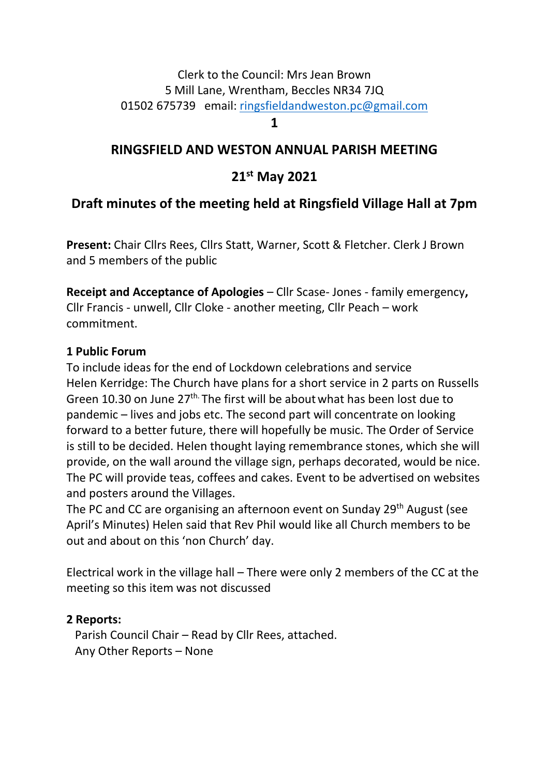# Clerk to the Council: Mrs Jean Brown 5 Mill Lane, Wrentham, Beccles NR34 7JQ 01502 675739 email: [ringsfieldandweston.pc@gmail.com](mailto:ringsfieldandweston.pc@gmail.com)

#### **1**

# **RINGSFIELD AND WESTON ANNUAL PARISH MEETING**

# **21st May 2021**

# **Draft minutes of the meeting held at Ringsfield Village Hall at 7pm**

**Present:** Chair Cllrs Rees, Cllrs Statt, Warner, Scott & Fletcher. Clerk J Brown and 5 members of the public

**Receipt and Acceptance of Apologies** – Cllr Scase- Jones - family emergency**,**  Cllr Francis - unwell, Cllr Cloke - another meeting, Cllr Peach – work commitment.

#### **1 Public Forum**

To include ideas for the end of Lockdown celebrations and service Helen Kerridge: The Church have plans for a short service in 2 parts on Russells Green 10.30 on June 27<sup>th.</sup> The first will be about what has been lost due to pandemic – lives and jobs etc. The second part will concentrate on looking forward to a better future, there will hopefully be music. The Order of Service is still to be decided. Helen thought laying remembrance stones, which she will provide, on the wall around the village sign, perhaps decorated, would be nice. The PC will provide teas, coffees and cakes. Event to be advertised on websites and posters around the Villages.

The PC and CC are organising an afternoon event on Sunday 29<sup>th</sup> August (see April's Minutes) Helen said that Rev Phil would like all Church members to be out and about on this 'non Church' day.

Electrical work in the village hall – There were only 2 members of the CC at the meeting so this item was not discussed

#### **2 Reports:**

 Parish Council Chair – Read by Cllr Rees, attached. Any Other Reports – None